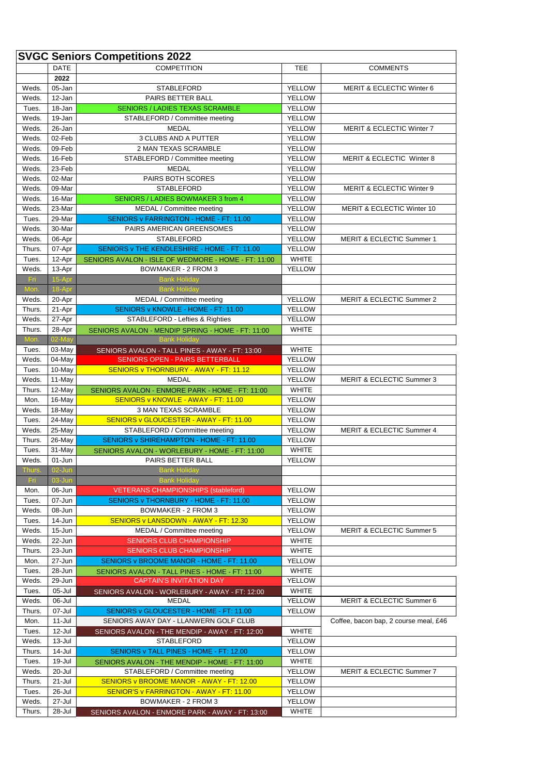|                | <b>SVGC Seniors Competitions 2022</b> |                                                     |                         |                                       |  |  |  |
|----------------|---------------------------------------|-----------------------------------------------------|-------------------------|---------------------------------------|--|--|--|
|                | <b>DATE</b>                           | <b>COMPETITION</b>                                  | TEE                     | <b>COMMENTS</b>                       |  |  |  |
|                | 2022                                  |                                                     |                         |                                       |  |  |  |
| Weds.          | 05-Jan                                | <b>STABLEFORD</b>                                   | <b>YELLOW</b>           | MERIT & ECLECTIC Winter 6             |  |  |  |
| Weds.          | 12-Jan                                | PAIRS BETTER BALL                                   | <b>YELLOW</b>           |                                       |  |  |  |
| Tues.          | 18-Jan                                | <b>SENIORS / LADIES TEXAS SCRAMBLE</b>              | <b>YELLOW</b>           |                                       |  |  |  |
| Weds.          | 19-Jan                                | STABLEFORD / Committee meeting                      | <b>YELLOW</b>           |                                       |  |  |  |
| Weds.          | 26-Jan                                | <b>MEDAL</b>                                        | YELLOW                  | MERIT & ECLECTIC Winter 7             |  |  |  |
| Weds.          | 02-Feb                                | 3 CLUBS AND A PUTTER                                | YELLOW                  |                                       |  |  |  |
| Weds.          | 09-Feb                                | 2 MAN TEXAS SCRAMBLE                                | <b>YELLOW</b>           |                                       |  |  |  |
| Weds.          | 16-Feb                                | STABLEFORD / Committee meeting                      | <b>YELLOW</b>           | MERIT & ECLECTIC Winter 8             |  |  |  |
| Weds.          | 23-Feb                                | <b>MEDAL</b><br>PAIRS BOTH SCORES                   | <b>YELLOW</b>           |                                       |  |  |  |
| Weds.<br>Weds. | 02-Mar<br>09-Mar                      | <b>STABLEFORD</b>                                   | YELLOW<br><b>YELLOW</b> | MERIT & ECLECTIC Winter 9             |  |  |  |
| Weds.          | 16-Mar                                | SENIORS / LADIES BOWMAKER 3 from 4                  | <b>YELLOW</b>           |                                       |  |  |  |
| Weds.          | 23-Mar                                | MEDAL / Committee meeting                           | <b>YELLOW</b>           | MERIT & ECLECTIC Winter 10            |  |  |  |
| Tues.          | 29-Mar                                | SENIORS v FARRINGTON - HOME - FT: 11.00             | <b>YELLOW</b>           |                                       |  |  |  |
| Weds.          | 30-Mar                                | PAIRS AMERICAN GREENSOMES                           | <b>YELLOW</b>           |                                       |  |  |  |
| Weds.          | 06-Apr                                | <b>STABLEFORD</b>                                   | YELLOW                  | <b>MERIT &amp; ECLECTIC Summer 1</b>  |  |  |  |
| Thurs.         | 07-Apr                                | SENIORS v THE KENDLESHIRE - HOME - FT: 11.00        | <b>YELLOW</b>           |                                       |  |  |  |
| Tues.          | 12-Apr                                | SENIORS AVALON - ISLE OF WEDMORE - HOME - FT: 11:00 | <b>WHITE</b>            |                                       |  |  |  |
| Weds.          | 13-Apr                                | BOWMAKER - 2 FROM 3                                 | <b>YELLOW</b>           |                                       |  |  |  |
| Fri.           | 15-Apr                                | <b>Bank Holiday</b>                                 |                         |                                       |  |  |  |
| Mon.           | 18-Apr                                | <b>Bank Holiday</b>                                 |                         |                                       |  |  |  |
| Weds.          | 20-Apr                                | MEDAL / Committee meeting                           | YELLOW                  | <b>MERIT &amp; ECLECTIC Summer 2</b>  |  |  |  |
| Thurs.         | 21-Apr                                | SENIORS v KNOWLE - HOME - FT: 11.00                 | <b>YELLOW</b>           |                                       |  |  |  |
| Weds.          | 27-Apr                                | STABLEFORD - Lefties & Righties                     | <b>YELLOW</b>           |                                       |  |  |  |
| Thurs.         | 28-Apr                                | SENIORS AVALON - MENDIP SPRING - HOME - FT: 11:00   | <b>WHITE</b>            |                                       |  |  |  |
| Mon.           | 02-May                                | <b>Bank Holiday</b>                                 |                         |                                       |  |  |  |
| Tues.          | 03-May                                | SENIORS AVALON - TALL PINES - AWAY - FT: 13:00      | <b>WHITE</b>            |                                       |  |  |  |
| Weds.          | 04-May                                | <b>SENIORS OPEN - PAIRS BETTERBALL</b>              | <b>YELLOW</b>           |                                       |  |  |  |
| Tues.          | 10-May                                | SENIORS v THORNBURY - AWAY - FT: 11.12              | <b>YELLOW</b>           |                                       |  |  |  |
| Weds.          | 11-May                                | <b>MEDAL</b>                                        | <b>YELLOW</b>           | <b>MERIT &amp; ECLECTIC Summer 3</b>  |  |  |  |
| Thurs.         | 12-May                                | SENIORS AVALON - ENMORE PARK - HOME - FT: 11:00     | WHITE                   |                                       |  |  |  |
| Mon.           | 16-May                                | SENIORS v KNOWLE - AWAY - FT: 11.00                 | <b>YELLOW</b>           |                                       |  |  |  |
| Weds.          | 18-May                                | 3 MAN TEXAS SCRAMBLE                                | <b>YELLOW</b>           |                                       |  |  |  |
| Tues.          | 24-May                                | SENIORS v GLOUCESTER - AWAY - FT: 11.00             | YELLOW                  |                                       |  |  |  |
| Weds.          | 25-May                                | STABLEFORD / Committee meeting                      | <b>YELLOW</b>           | MERIT & ECLECTIC Summer 4             |  |  |  |
| Thurs.         | 26-May                                | SENIORS v SHIREHAMPTON - HOME - FT: 11.00           | <b>YELLOW</b>           |                                       |  |  |  |
| Tues.<br>Weds. | 31-May                                | SENIORS AVALON - WORLEBURY - HOME - FT: 11:00       | <b>WHITE</b>            |                                       |  |  |  |
| Thurs.         | 01-Jun<br>02-Jun                      | PAIRS BETTER BALL<br><b>Bank Holiday</b>            | YELLOW                  |                                       |  |  |  |
| Fп.            | 03-Jun                                | <b>Bank Holiday</b>                                 |                         |                                       |  |  |  |
| Mon.           | 06-Jun                                | <b>VETERANS CHAMPIONSHIPS (stableford)</b>          | YELLOW                  |                                       |  |  |  |
| Tues.          | 07-Jun                                | SENIORS v THORNBURY - HOME - FT: 11.00              | <b>YELLOW</b>           |                                       |  |  |  |
| Weds.          | 08-Jun                                | BOWMAKER - 2 FROM 3                                 | <b>YELLOW</b>           |                                       |  |  |  |
| Tues.          | 14-Jun                                | SENIORS v LANSDOWN - AWAY - FT: 12.30               | YELLOW                  |                                       |  |  |  |
| Weds.          | 15-Jun                                | MEDAL / Committee meeting                           | <b>YELLOW</b>           | <b>MERIT &amp; ECLECTIC Summer 5</b>  |  |  |  |
| Weds.          | 22-Jun                                | <b>SENIORS CLUB CHAMPIONSHIP</b>                    | WHITE                   |                                       |  |  |  |
| Thurs.         | 23-Jun                                | <b>SENIORS CLUB CHAMPIONSHIP</b>                    | <b>WHITE</b>            |                                       |  |  |  |
| Mon.           | 27-Jun                                | SENIORS v BROOME MANOR - HOME - FT: 11.00           | <b>YELLOW</b>           |                                       |  |  |  |
| Tues.          | 28-Jun                                | SENIORS AVALON - TALL PINES - HOME - FT: 11:00      | <b>WHITE</b>            |                                       |  |  |  |
| Weds.          | 29-Jun                                | <b>CAPTAIN'S INVITATION DAY</b>                     | <b>YELLOW</b>           |                                       |  |  |  |
| Tues.          | 05-Jul                                | SENIORS AVALON - WORLEBURY - AWAY - FT: 12:00       | <b>WHITE</b>            |                                       |  |  |  |
| Weds.          | 06-Jul                                | <b>MEDAL</b>                                        | YELLOW                  | MERIT & ECLECTIC Summer 6             |  |  |  |
| Thurs.         | 07-Jul                                | SENIORS v GLOUCESTER - HOME - FT: 11.00             | <b>YELLOW</b>           |                                       |  |  |  |
| Mon.           | 11-Jul                                | SENIORS AWAY DAY - LLANWERN GOLF CLUB               |                         | Coffee, bacon bap, 2 course meal, £46 |  |  |  |
| Tues.          | 12-Jul                                | SENIORS AVALON - THE MENDIP - AWAY - FT: 12:00      | <b>WHITE</b>            |                                       |  |  |  |
| Weds.          | 13-Jul                                | <b>STABLEFORD</b>                                   | YELLOW                  |                                       |  |  |  |
| Thurs.         | 14-Jul                                | SENIORS v TALL PINES - HOME - FT: 12.00             | <b>YELLOW</b>           |                                       |  |  |  |
| Tues.          | 19-Jul                                | SENIORS AVALON - THE MENDIP - HOME - FT: 11:00      | WHITE                   |                                       |  |  |  |
| Weds.          | 20-Jul                                | STABLEFORD / Committee meeting                      | <b>YELLOW</b>           | MERIT & ECLECTIC Summer 7             |  |  |  |
| Thurs.         | 21-Jul                                | <b>SENIORS v BROOME MANOR - AWAY - FT: 12.00</b>    | <b>YELLOW</b>           |                                       |  |  |  |
| Tues.          | 26-Jul                                | SENIOR'S v FARRINGTON - AWAY - FT: 11.00            | YELLOW                  |                                       |  |  |  |
| Weds.          | 27-Jul                                | BOWMAKER - 2 FROM 3                                 | YELLOW                  |                                       |  |  |  |
| Thurs.         | 28-Jul                                | SENIORS AVALON - ENMORE PARK - AWAY - FT: 13:00     | <b>WHITE</b>            |                                       |  |  |  |